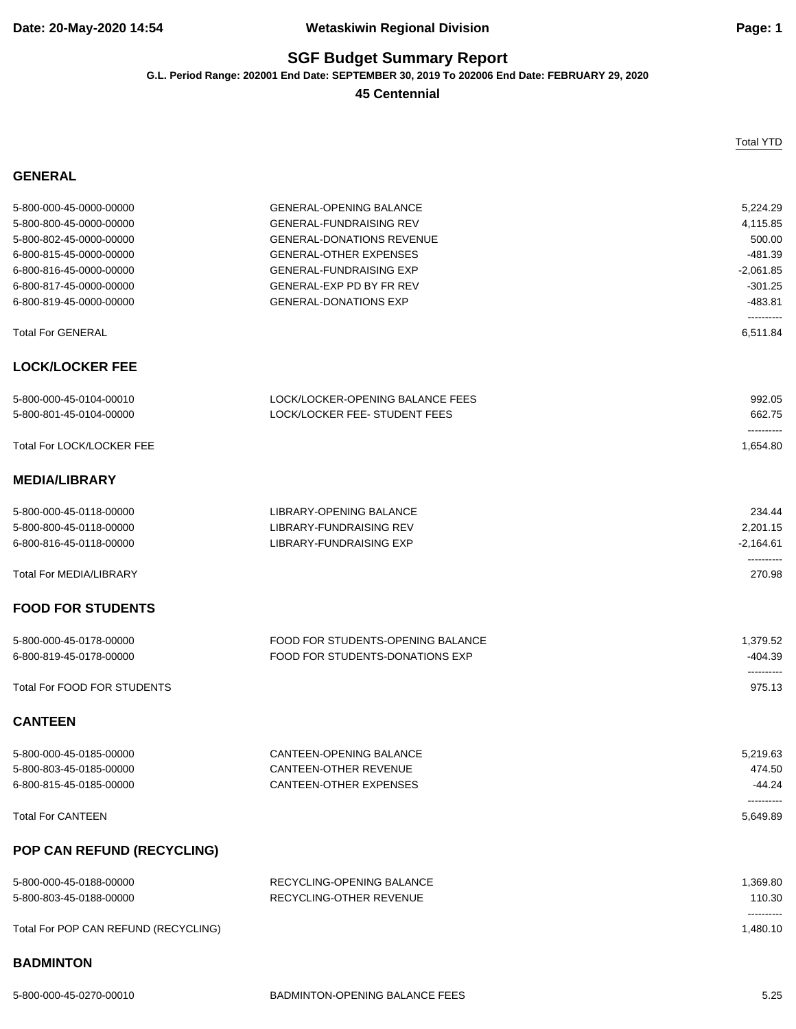## **Date: 20-May-2020 14:54 Wetaskiwin Regional Division Page: 1**

# **SGF Budget Summary Report**

**G.L. Period Range: 202001 End Date: SEPTEMBER 30, 2019 To 202006 End Date: FEBRUARY 29, 2020**

#### **45 Centennial**

| ENERA |  |
|-------|--|
|-------|--|

| 5-800-000-45-0000-00000              | <b>GENERAL-OPENING BALANCE</b>    | 5,224.29                  |
|--------------------------------------|-----------------------------------|---------------------------|
| 5-800-800-45-0000-00000              | <b>GENERAL-FUNDRAISING REV</b>    | 4,115.85                  |
| 5-800-802-45-0000-00000              | <b>GENERAL-DONATIONS REVENUE</b>  | 500.00                    |
| 6-800-815-45-0000-00000              | <b>GENERAL-OTHER EXPENSES</b>     | $-481.39$                 |
| 6-800-816-45-0000-00000              | <b>GENERAL-FUNDRAISING EXP</b>    | $-2,061.85$               |
| 6-800-817-45-0000-00000              | GENERAL-EXP PD BY FR REV          | $-301.25$                 |
| 6-800-819-45-0000-00000              | <b>GENERAL-DONATIONS EXP</b>      | $-483.81$                 |
|                                      |                                   | ----------                |
| <b>Total For GENERAL</b>             |                                   | 6,511.84                  |
| <b>LOCK/LOCKER FEE</b>               |                                   |                           |
| 5-800-000-45-0104-00010              | LOCK/LOCKER-OPENING BALANCE FEES  | 992.05                    |
| 5-800-801-45-0104-00000              | LOCK/LOCKER FEE-STUDENT FEES      | 662.75<br>----------      |
| <b>Total For LOCK/LOCKER FEE</b>     |                                   | 1,654.80                  |
| <b>MEDIA/LIBRARY</b>                 |                                   |                           |
| 5-800-000-45-0118-00000              | LIBRARY-OPENING BALANCE           | 234.44                    |
| 5-800-800-45-0118-00000              | LIBRARY-FUNDRAISING REV           | 2,201.15                  |
| 6-800-816-45-0118-00000              | <b>LIBRARY-FUNDRAISING EXP</b>    | $-2,164.61$<br>---------- |
| <b>Total For MEDIA/LIBRARY</b>       |                                   | 270.98                    |
| <b>FOOD FOR STUDENTS</b>             |                                   |                           |
| 5-800-000-45-0178-00000              | FOOD FOR STUDENTS-OPENING BALANCE | 1,379.52                  |
| 6-800-819-45-0178-00000              | FOOD FOR STUDENTS-DONATIONS EXP   | $-404.39$<br>----------   |
| Total For FOOD FOR STUDENTS          |                                   | 975.13                    |
| <b>CANTEEN</b>                       |                                   |                           |
| 5-800-000-45-0185-00000              | <b>CANTEEN-OPENING BALANCE</b>    | 5.219.63                  |
| 5-800-803-45-0185-00000              | CANTEEN-OTHER REVENUE             | 474.50                    |
| 6-800-815-45-0185-00000              | <b>CANTEEN-OTHER EXPENSES</b>     | $-44.24$<br>----------    |
| <b>Total For CANTEEN</b>             |                                   | 5,649.89                  |
| POP CAN REFUND (RECYCLING)           |                                   |                           |
| 5-800-000-45-0188-00000              | RECYCLING-OPENING BALANCE         | 1,369.80                  |
| 5-800-803-45-0188-00000              | RECYCLING-OTHER REVENUE           | 110.30<br>----------      |
| Total For POP CAN REFUND (RECYCLING) |                                   | 1,480.10                  |
| <b>BADMINTON</b>                     |                                   |                           |